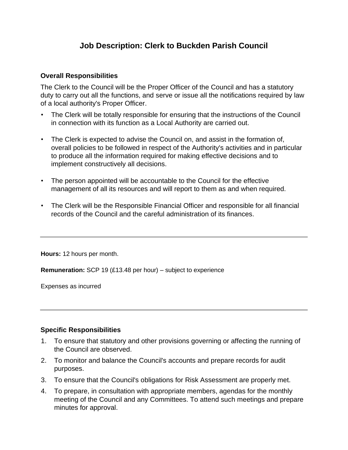## **Job Description: Clerk to Buckden Parish Council**

## **Overall Responsibilities**

The Clerk to the Council will be the Proper Officer of the Council and has a statutory duty to carry out all the functions, and serve or issue all the notifications required by law of a local authority's Proper Officer.

- The Clerk will be totally responsible for ensuring that the instructions of the Council in connection with its function as a Local Authority are carried out.
- The Clerk is expected to advise the Council on, and assist in the formation of, overall policies to be followed in respect of the Authority's activities and in particular to produce all the information required for making effective decisions and to implement constructively all decisions.
- The person appointed will be accountable to the Council for the effective management of all its resources and will report to them as and when required.
- The Clerk will be the Responsible Financial Officer and responsible for all financial records of the Council and the careful administration of its finances.

**Hours:** 12 hours per month.

**Remuneration:** SCP 19 (£13.48 per hour) – subject to experience

Expenses as incurred

## **Specific Responsibilities**

- 1. To ensure that statutory and other provisions governing or affecting the running of the Council are observed.
- 2. To monitor and balance the Council's accounts and prepare records for audit purposes.
- 3. To ensure that the Council's obligations for Risk Assessment are properly met.
- 4. To prepare, in consultation with appropriate members, agendas for the monthly meeting of the Council and any Committees. To attend such meetings and prepare minutes for approval.